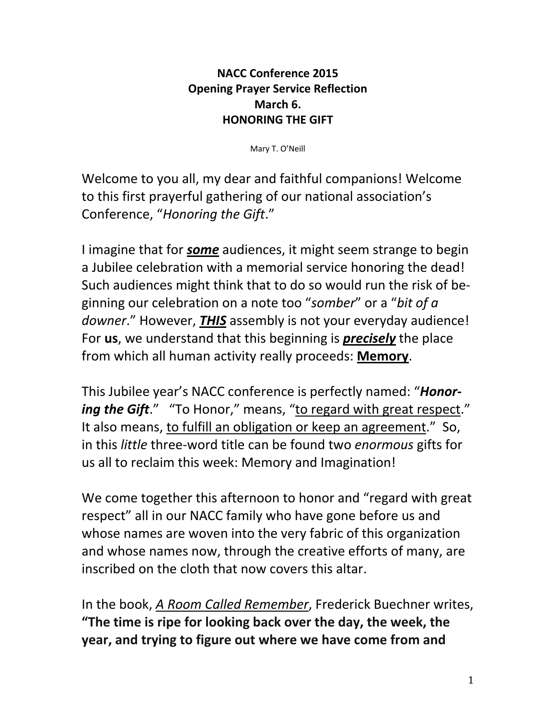## **NACC Conference 2015 Opening Prayer Service Reflection March 6. HONORING THE GIFT**

Mary T. O'Neill

Welcome to you all, my dear and faithful companions! Welcome to this first prayerful gathering of our national association's Conference, "*Honoring the Gift*."

I imagine that for *some* audiences, it might seem strange to begin a Jubilee celebration with a memorial service honoring the dead! Such audiences might think that to do so would run the risk of be‐ ginning our celebration on a note too "*somber*" or a "*bit of a downer*." However, *THIS* assembly is not your everyday audience! For **us**, we understand that this beginning is *precisely* the place from which all human activity really proceeds: **Memory**.

This Jubilee year's NACC conference is perfectly named: "*Honor‐ ing the Gift*." "To Honor," means, "to regard with great respect." It also means, to fulfill an obligation or keep an agreement." So, in this *little* three‐word title can be found two *enormous* gifts for us all to reclaim this week: Memory and Imagination!

We come together this afternoon to honor and "regard with great respect" all in our NACC family who have gone before us and whose names are woven into the very fabric of this organization and whose names now, through the creative efforts of many, are inscribed on the cloth that now covers this altar.

In the book, *A Room Called Remember*, Frederick Buechner writes, **"The time is ripe for looking back over the day, the week, the year, and trying to figure out where we have come from and**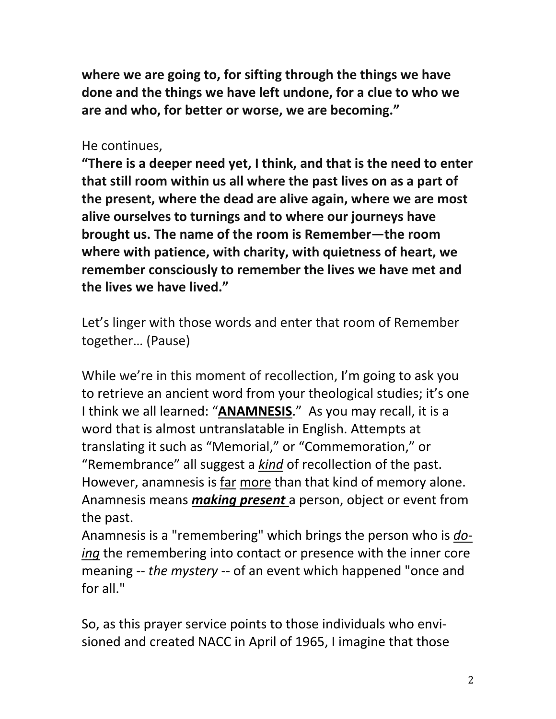**where we are going to, for sifting through the things we have done and the things we have left undone, for a clue to who we are and who, for better or worse, we are becoming."** 

## He continues,

**"There is a deeper need yet, I think, and that is the need to enter that still room within us all where the past lives on as a part of the present, where the dead are alive again, where we are most alive ourselves to turnings and to where our journeys have brought us. The name of the room is Remember—the room where with patience, with charity, with quietness of heart, we remember consciously to remember the lives we have met and the lives we have lived."** 

Let's linger with those words and enter that room of Remember together… (Pause)

While we're in this moment of recollection, I'm going to ask you to retrieve an ancient word from your theological studies; it's one I think we all learned: "**ANAMNESIS**." As you may recall, it is a word that is almost untranslatable in English. Attempts at translating it such as "Memorial," or "Commemoration," or "Remembrance" all suggest a *kind* of recollection of the past. However, anamnesis is far more than that kind of memory alone. Anamnesis means *making present* a person, object or event from the past.

Anamnesis is a "remembering" which brings the person who is *do‐ ing* the remembering into contact or presence with the inner core meaning ‐‐ *the mystery* ‐‐ of an event which happened "once and for all."

So, as this prayer service points to those individuals who envi‐ sioned and created NACC in April of 1965, I imagine that those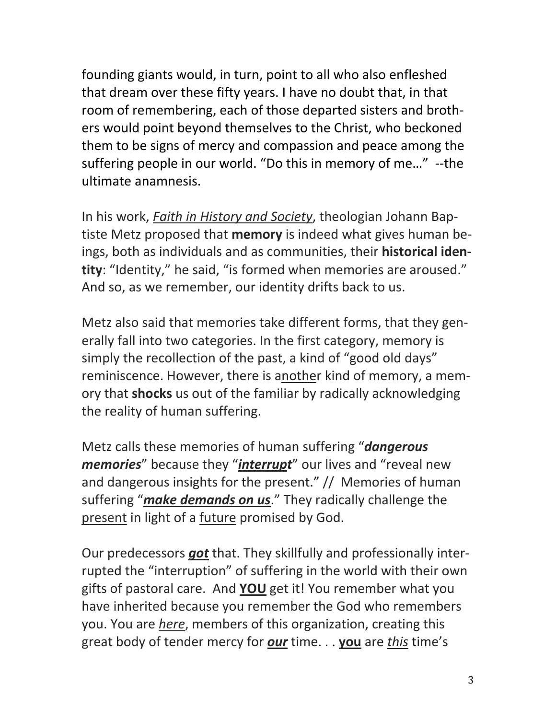founding giants would, in turn, point to all who also enfleshed that dream over these fifty years. I have no doubt that, in that room of remembering, each of those departed sisters and broth‐ ers would point beyond themselves to the Christ, who beckoned them to be signs of mercy and compassion and peace among the suffering people in our world. "Do this in memory of me..." --the ultimate anamnesis.

In his work, *Faith in History and Society*, theologian Johann Bap‐ tiste Metz proposed that **memory** is indeed what gives human be‐ ings, both as individuals and as communities, their **historical iden‐ tity**: "Identity," he said, "is formed when memories are aroused." And so, as we remember, our identity drifts back to us.

Metz also said that memories take different forms, that they generally fall into two categories. In the first category, memory is simply the recollection of the past, a kind of "good old days" reminiscence. However, there is another kind of memory, a mem‐ ory that **shocks** us out of the familiar by radically acknowledging the reality of human suffering.

Metz calls these memories of human suffering "*dangerous memories*" because they "*interrupt*" our lives and "reveal new and dangerous insights for the present." // Memories of human suffering "*make demands on us*." They radically challenge the present in light of a future promised by God.

Our predecessors *got* that. They skillfully and professionally inter‐ rupted the "interruption" of suffering in the world with their own gifts of pastoral care. And **YOU** get it! You remember what you have inherited because you remember the God who remembers you. You are *here*, members of this organization, creating this great body of tender mercy for *our* time. . . **you** are *this* time's